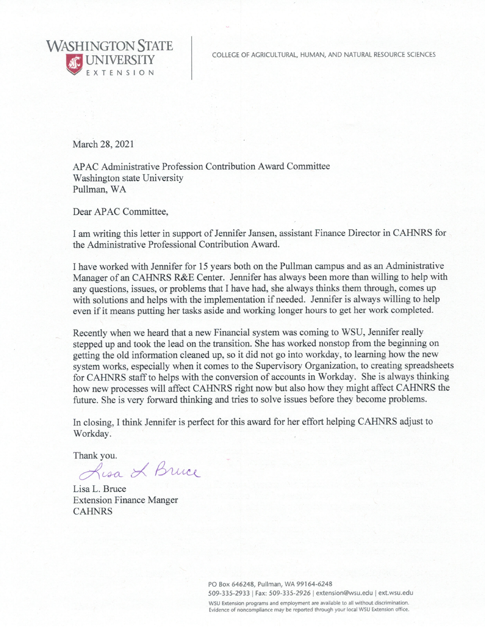COLLEGE OF AGRICULTURAL, HUMAN, AND NATURAL RESOURCE SCIENCES

**WASHINGTON STATE** 

March 28, 2021

APAC Administrative Profession Contribution Award Committee Washington state University Pullman, WA

Dear APAC Committee,

I am writing this letter in support of Jennifer Jansen, assistant Finance Director in CAHNRS for the Administrative Professional Contribution Award.

I have worked with Jennifer for 15 years both on the Pullman campus and as an Administrative Manager of an CAHNRS R&E Center. Jennifer has always been more than willing to help with any questions, issues, or problems that I have had, she always thinks them through, comes up with solutions and helps with the implementation if needed. Jennifer is always willing to help even if it means putting her tasks aside and working longer hours to get her work completed.

Recently when we heard that a new Financial system was coming to WSU, Jennifer really stepped up and took the lead on the transition. She has worked nonstop from the beginning on getting the old information cleaned up, so it did not go into workday, to learning how the new system works, especially when it comes to the Supervisory Organization, to creating spreadsheets for CAHNRS staff to helps with the conversion of accounts in Workday. She is always thinking how new processes will affect CAHNRS right now but also how they might affect CAHNRS the future. She is very forward thinking and tries to solve issues before they become problems.

In closing, I think Jennifer is perfect for this award for her effort helping CAHNRS adjust to Workday.

Thank you.

Lisa & Bruce

Lisa L. Bruce **Extension Finance Manger CAHNRS** 

> PO Box 646248, Pullman, WA 99164-6248 509-335-2933 | Fax: 509-335-2926 | extension@wsu.edu | ext.wsu.edu

WSU Extension programs and employment are available to all without discrimination. Evidence of noncompliance may be reported through your local WSU Extension office.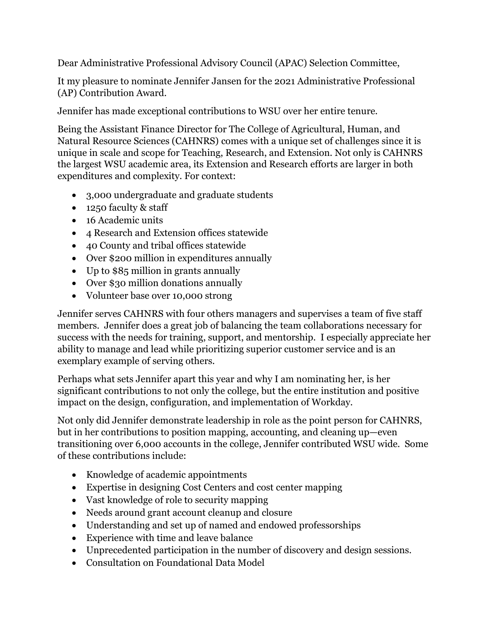Dear Administrative Professional Advisory Council (APAC) Selection Committee,

It my pleasure to nominate Jennifer Jansen for the 2021 Administrative Professional (AP) Contribution Award.

Jennifer has made exceptional contributions to WSU over her entire tenure.

Being the Assistant Finance Director for The College of Agricultural, Human, and Natural Resource Sciences (CAHNRS) comes with a unique set of challenges since it is unique in scale and scope for Teaching, Research, and Extension. Not only is CAHNRS the largest WSU academic area, its Extension and Research efforts are larger in both expenditures and complexity. For context:

- 3,000 undergraduate and graduate students
- 1250 faculty & staff
- 16 Academic units
- 4 Research and Extension offices statewide
- 40 County and tribal offices statewide
- Over \$200 million in expenditures annually
- Up to \$85 million in grants annually
- Over \$30 million donations annually
- Volunteer base over 10,000 strong

Jennifer serves CAHNRS with four others managers and supervises a team of five staff members. Jennifer does a great job of balancing the team collaborations necessary for success with the needs for training, support, and mentorship. I especially appreciate her ability to manage and lead while prioritizing superior customer service and is an exemplary example of serving others.

Perhaps what sets Jennifer apart this year and why I am nominating her, is her significant contributions to not only the college, but the entire institution and positive impact on the design, configuration, and implementation of Workday.

Not only did Jennifer demonstrate leadership in role as the point person for CAHNRS, but in her contributions to position mapping, accounting, and cleaning up—even transitioning over 6,000 accounts in the college, Jennifer contributed WSU wide. Some of these contributions include:

- Knowledge of academic appointments
- Expertise in designing Cost Centers and cost center mapping
- Vast knowledge of role to security mapping
- Needs around grant account cleanup and closure
- Understanding and set up of named and endowed professorships
- Experience with time and leave balance
- Unprecedented participation in the number of discovery and design sessions.
- Consultation on Foundational Data Model